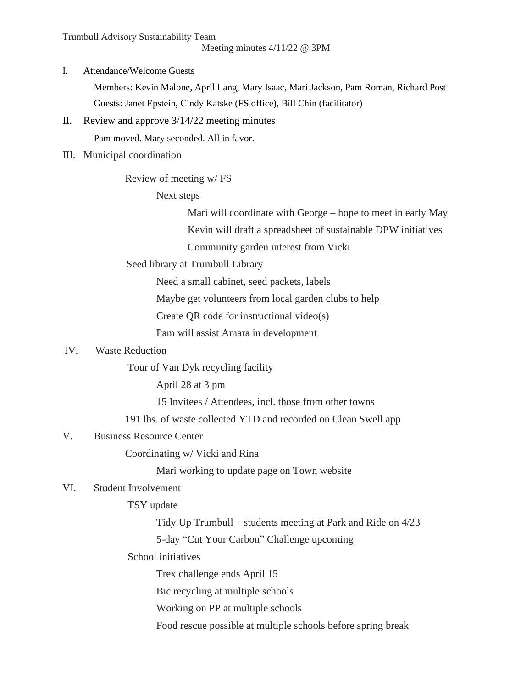Trumbull Advisory Sustainability Team

Meeting minutes 4/11/22 @ 3PM

I. Attendance/Welcome Guests

Members: Kevin Malone, April Lang, Mary Isaac, Mari Jackson, Pam Roman, Richard Post Guests: Janet Epstein, Cindy Katske (FS office), Bill Chin (facilitator)

II. Review and approve 3/14/22 meeting minutes

Pam moved. Mary seconded. All in favor.

III. Municipal coordination

Review of meeting w/ FS

Next steps

Mari will coordinate with George – hope to meet in early May Kevin will draft a spreadsheet of sustainable DPW initiatives

Community garden interest from Vicki

Seed library at Trumbull Library

Need a small cabinet, seed packets, labels

Maybe get volunteers from local garden clubs to help

Create QR code for instructional video(s)

Pam will assist Amara in development

# IV. Waste Reduction

Tour of Van Dyk recycling facility

April 28 at 3 pm

15 Invitees / Attendees, incl. those from other towns

191 lbs. of waste collected YTD and recorded on Clean Swell app

## V. Business Resource Center

Coordinating w/ Vicki and Rina

Mari working to update page on Town website

# VI. Student Involvement

## TSY update

Tidy Up Trumbull – students meeting at Park and Ride on 4/23 5-day "Cut Your Carbon" Challenge upcoming

## School initiatives

Trex challenge ends April 15

Bic recycling at multiple schools

Working on PP at multiple schools

Food rescue possible at multiple schools before spring break